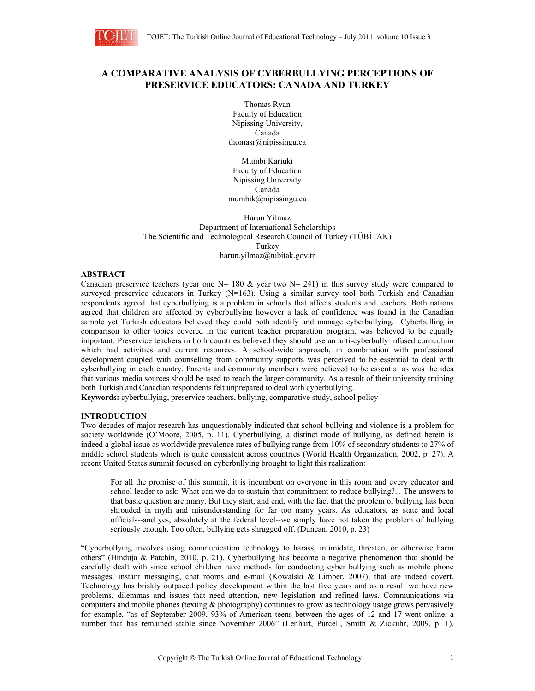

# **A COMPARATIVE ANALYSIS OF CYBERBULLYING PERCEPTIONS OF PRESERVICE EDUCATORS: CANADA AND TURKEY**

Thomas Ryan Faculty of Education Nipissing University, Canada thomasr@nipissingu.ca

Mumbi Kariuki Faculty of Education Nipissing University Canada mumbik@nipissingu.ca

Harun Yilmaz Department of International Scholarships The Scientific and Technological Research Council of Turkey (TÜBİTAK) Turkey harun.yilmaz@tubitak.gov.tr

## **ABSTRACT**

Canadian preservice teachers (year one  $N= 180 \&$  year two  $N= 241$ ) in this survey study were compared to surveyed preservice educators in Turkey (N=163). Using a similar survey tool both Turkish and Canadian respondents agreed that cyberbullying is a problem in schools that affects students and teachers. Both nations agreed that children are affected by cyberbullying however a lack of confidence was found in the Canadian sample yet Turkish educators believed they could both identify and manage cyberbullying. Cyberbulling in comparison to other topics covered in the current teacher preparation program, was believed to be equally important. Preservice teachers in both countries believed they should use an anti-cyberbully infused curriculum which had activities and current resources. A school-wide approach, in combination with professional development coupled with counselling from community supports was perceived to be essential to deal with cyberbullying in each country. Parents and community members were believed to be essential as was the idea that various media sources should be used to reach the larger community. As a result of their university training both Turkish and Canadian respondents felt unprepared to deal with cyberbullying.

**Keywords:** cyberbullying, preservice teachers, bullying, comparative study, school policy

# **INTRODUCTION**

Two decades of major research has unquestionably indicated that school bullying and violence is a problem for society worldwide (O'Moore, 2005, p. 11). Cyberbullying, a distinct mode of bullying, as defined herein is indeed a global issue as worldwide prevalence rates of bullying range from 10% of secondary students to 27% of middle school students which is quite consistent across countries (World Health Organization, 2002, p. 27). A recent United States summit focused on cyberbullying brought to light this realization:

 For all the promise of this summit, it is incumbent on everyone in this room and every educator and school leader to ask: What can we do to sustain that commitment to reduce bullying?... The answers to that basic question are many. But they start, and end, with the fact that the problem of bullying has been shrouded in myth and misunderstanding for far too many years. As educators, as state and local officials--and yes, absolutely at the federal level--we simply have not taken the problem of bullying seriously enough. Too often, bullying gets shrugged off. (Duncan, 2010, p. 23)

"Cyberbullying involves using communication technology to harass, intimidate, threaten, or otherwise harm others" (Hinduja & Patchin, 2010, p. 21). Cyberbullying has become a negative phenomenon that should be carefully dealt with since school children have methods for conducting cyber bullying such as mobile phone messages, instant messaging, chat rooms and e-mail (Kowalski & Limber, 2007), that are indeed covert. Technology has briskly outpaced policy development within the last five years and as a result we have new problems, dilemmas and issues that need attention, new legislation and refined laws. Communications via computers and mobile phones (texting & photography) continues to grow as technology usage grows pervasively for example, "as of September 2009, 93% of American teens between the ages of 12 and 17 went online, a number that has remained stable since November 2006" (Lenhart, Purcell, Smith & Zickuhr, 2009, p. 1).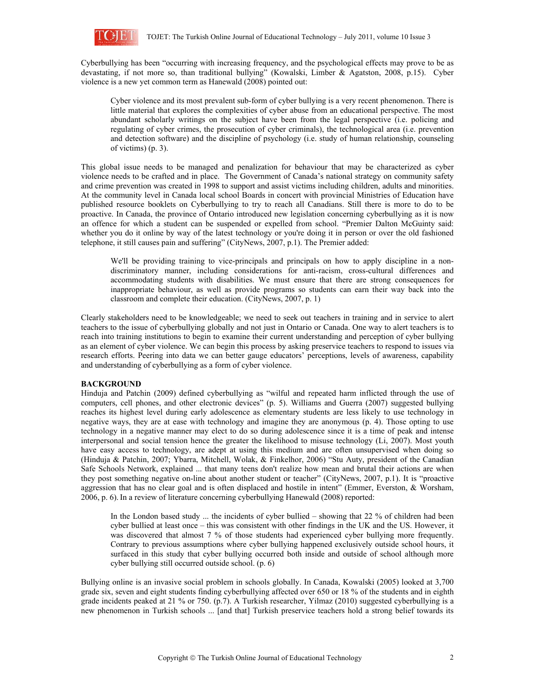

Cyberbullying has been "occurring with increasing frequency, and the psychological effects may prove to be as devastating, if not more so, than traditional bullying" (Kowalski, Limber & Agatston, 2008, p.15). Cyber violence is a new yet common term as Hanewald (2008) pointed out:

 Cyber violence and its most prevalent sub-form of cyber bullying is a very recent phenomenon. There is little material that explores the complexities of cyber abuse from an educational perspective. The most abundant scholarly writings on the subject have been from the legal perspective (i.e. policing and regulating of cyber crimes, the prosecution of cyber criminals), the technological area (i.e. prevention and detection software) and the discipline of psychology (i.e. study of human relationship, counseling of victims) (p. 3).

This global issue needs to be managed and penalization for behaviour that may be characterized as cyber violence needs to be crafted and in place. The Government of Canada's national strategy on community safety and crime prevention was created in 1998 to support and assist victims including children, adults and minorities. At the community level in Canada local school Boards in concert with provincial Ministries of Education have published resource booklets on Cyberbullying to try to reach all Canadians. Still there is more to do to be proactive. In Canada, the province of Ontario introduced new legislation concerning cyberbullying as it is now an offence for which a student can be suspended or expelled from school. "Premier Dalton McGuinty said: whether you do it online by way of the latest technology or you're doing it in person or over the old fashioned telephone, it still causes pain and suffering" (CityNews, 2007, p.1). The Premier added:

We'll be providing training to vice-principals and principals on how to apply discipline in a nondiscriminatory manner, including considerations for anti-racism, cross-cultural differences and accommodating students with disabilities. We must ensure that there are strong consequences for inappropriate behaviour, as well as provide programs so students can earn their way back into the classroom and complete their education. (CityNews, 2007, p. 1)

Clearly stakeholders need to be knowledgeable; we need to seek out teachers in training and in service to alert teachers to the issue of cyberbullying globally and not just in Ontario or Canada. One way to alert teachers is to reach into training institutions to begin to examine their current understanding and perception of cyber bullying as an element of cyber violence. We can begin this process by asking preservice teachers to respond to issues via research efforts. Peering into data we can better gauge educators' perceptions, levels of awareness, capability and understanding of cyberbullying as a form of cyber violence.

## **BACKGROUND**

Hinduja and Patchin (2009) defined cyberbullying as "wilful and repeated harm inflicted through the use of computers, cell phones, and other electronic devices" (p. 5). Williams and Guerra (2007) suggested bullying reaches its highest level during early adolescence as elementary students are less likely to use technology in negative ways, they are at ease with technology and imagine they are anonymous (p. 4). Those opting to use technology in a negative manner may elect to do so during adolescence since it is a time of peak and intense interpersonal and social tension hence the greater the likelihood to misuse technology (Li, 2007). Most youth have easy access to technology, are adept at using this medium and are often unsupervised when doing so (Hinduja & Patchin, 2007; Ybarra, Mitchell, Wolak, & Finkelhor, 2006) "Stu Auty, president of the Canadian Safe Schools Network, explained ... that many teens don't realize how mean and brutal their actions are when they post something negative on-line about another student or teacher" (CityNews, 2007, p.1). It is "proactive aggression that has no clear goal and is often displaced and hostile in intent" (Emmer, Everston, & Worsham, 2006, p. 6).In a review of literature concerning cyberbullying Hanewald (2008) reported:

In the London based study ... the incidents of cyber bullied – showing that 22 % of children had been cyber bullied at least once – this was consistent with other findings in the UK and the US. However, it was discovered that almost 7 % of those students had experienced cyber bullying more frequently. Contrary to previous assumptions where cyber bullying happened exclusively outside school hours, it surfaced in this study that cyber bullying occurred both inside and outside of school although more cyber bullying still occurred outside school. (p. 6)

Bullying online is an invasive social problem in schools globally. In Canada, Kowalski (2005) looked at 3,700 grade six, seven and eight students finding cyberbullying affected over 650 or 18 % of the students and in eighth grade incidents peaked at 21 % or 750. (p.7). A Turkish researcher, Yilmaz (2010) suggested cyberbullying is a new phenomenon in Turkish schools ... [and that] Turkish preservice teachers hold a strong belief towards its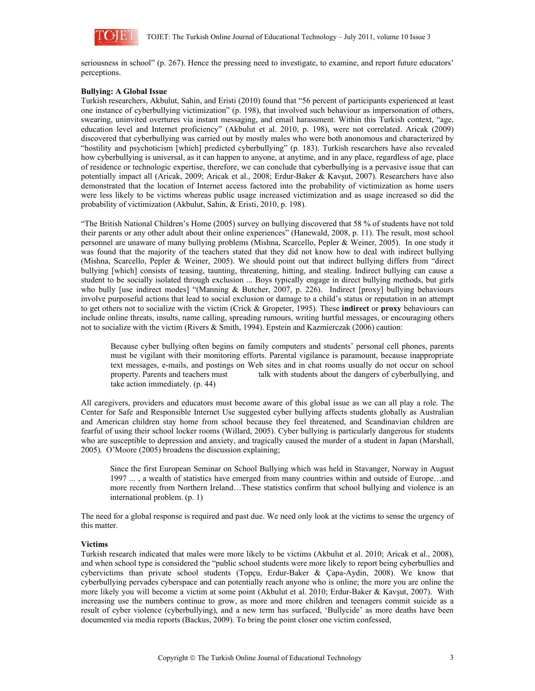

seriousness in school" (p. 267). Hence the pressing need to investigate, to examine, and report future educators' perceptions.

# **Bullying: A Global Issue**

Turkish researchers, Akbulut, Sahin, and Eristi (2010) found that "56 percent of participants experienced at least one instance of cyberbullying victimization" (p. 198), that involved such behaviour as impersonation of others, swearing, uninvited overtures via instant messaging, and email harassment. Within this Turkish context, "age, education level and Internet proficiency" (Akbulut et al. 2010, p. 198), were not correlated. Aricak (2009) discovered that cyberbullying was carried out by mostly males who were both anonomous and characterized by "hostility and psychoticism [which] predicted cyberbullying" (p. 183). Turkish researchers have also revealed how cyberbullying is universal, as it can happen to anyone, at anytime, and in any place, regardless of age, place of residence or technologic expertise, therefore, we can conclude that cyberbullying is a pervasive issue that can potentially impact all (Aricak, 2009; Aricak et al., 2008; Erdur-Baker & Kavşut, 2007). Researchers have also demonstrated that the location of Internet access factored into the probability of victimization as home users were less likely to be victims whereas public usage increased victimization and as usage increased so did the probability of victimization (Akbulut, Sahin, & Eristi, 2010, p. 198).

"The British National Children's Home (2005) survey on bullying discovered that 58 % of students have not told their parents or any other adult about their online experiences" (Hanewald, 2008, p. 11). The result, most school personnel are unaware of many bullying problems (Mishna, Scarcello, Pepler & Weiner, 2005). In one study it was found that the majority of the teachers stated that they did not know how to deal with indirect bullying (Mishna, Scarcello, Pepler & Weiner, 2005). We should point out that indirect bullying differs from "direct bullying [which] consists of teasing, taunting, threatening, hitting, and stealing. Indirect bullying can cause a student to be socially isolated through exclusion ... Boys typically engage in direct bullying methods, but girls who bully [use indirect modes] "(Manning & Butcher, 2007, p. 226). Indirect [proxy] bullying behaviours involve purposeful actions that lead to social exclusion or damage to a child's status or reputation in an attempt to get others not to socialize with the victim (Crick & Gropeter, 1995). These **indirect** or **proxy** behaviours can include online threats, insults, name calling, spreading rumours, writing hurtful messages, or encouraging others not to socialize with the victim (Rivers & Smith, 1994). Epstein and Kazmierczak (2006) caution:

 Because cyber bullying often begins on family computers and students' personal cell phones, parents must be vigilant with their monitoring efforts. Parental vigilance is paramount, because inappropriate text messages, e-mails, and postings on Web sites and in chat rooms usually do not occur on school property. Parents and teachers must<br>talk with students about the dangers of cyberbullying, and talk with students about the dangers of cyberbullying, and take action immediately. (p. 44)

All caregivers, providers and educators must become aware of this global issue as we can all play a role. The Center for Safe and Responsible Internet Use suggested cyber bullying affects students globally as Australian and American children stay home from school because they feel threatened, and Scandinavian children are fearful of using their school locker rooms (Willard, 2005). Cyber bullying is particularly dangerous for students who are susceptible to depression and anxiety, and tragically caused the murder of a student in Japan (Marshall, 2005). O'Moore (2005) broadens the discussion explaining;

Since the first European Seminar on School Bullying which was held in Stavanger, Norway in August 1997 ... , a wealth of statistics have emerged from many countries within and outside of Europe…and more recently from Northern Ireland…These statistics confirm that school bullying and violence is an international problem. (p. 1)

The need for a global response is required and past due. We need only look at the victims to sense the urgency of this matter.

## **Victims**

Turkish research indicated that males were more likely to be victims (Akbulut et al. 2010; Aricak et al., 2008), and when school type is considered the "public school students were more likely to report being cyberbullies and cybervictims than private school students (Topçu, Erdur-Baker & Çapa-Aydin, 2008). We know that cyberbullying pervades cyberspace and can potentially reach anyone who is online; the more you are online the more likely you will become a victim at some point (Akbulut et al. 2010; Erdur-Baker & Kavşut, 2007). With increasing use the numbers continue to grow, as more and more children and teenagers commit suicide as a result of cyber violence (cyberbullying), and a new term has surfaced, 'Bullycide' as more deaths have been documented via media reports (Backus, 2009). To bring the point closer one victim confessed,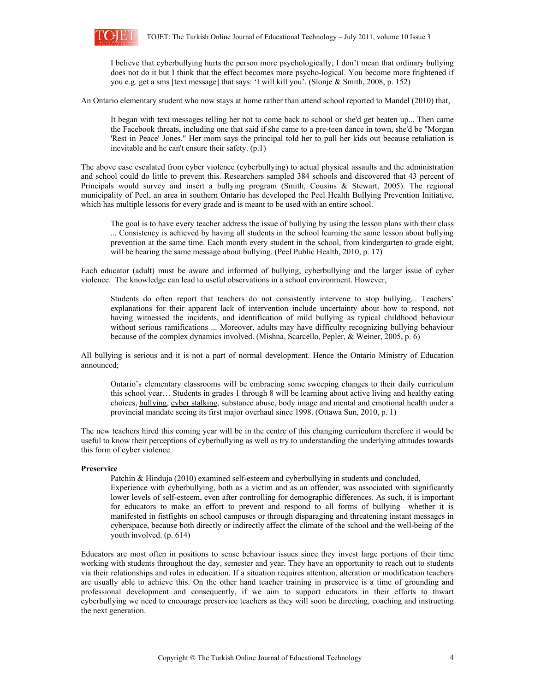

 I believe that cyberbullying hurts the person more psychologically; I don't mean that ordinary bullying does not do it but I think that the effect becomes more psycho-logical. You become more frightened if you e.g. get a sms [text message] that says: 'I will kill you'. (Slonje & Smith, 2008, p. 152)

An Ontario elementary student who now stays at home rather than attend school reported to Mandel (2010) that,

 It began with text messages telling her not to come back to school or she'd get beaten up... Then came the Facebook threats, including one that said if she came to a pre-teen dance in town, she'd be "Morgan 'Rest in Peace' Jones." Her mom says the principal told her to pull her kids out because retaliation is inevitable and he can't ensure their safety. (p.1)

The above case escalated from cyber violence (cyberbullying) to actual physical assaults and the administration and school could do little to prevent this. Researchers sampled 384 schools and discovered that 43 percent of Principals would survey and insert a bullying program (Smith, Cousins & Stewart, 2005). The regional municipality of Peel, an area in southern Ontario has developed the Peel Health Bullying Prevention Initiative, which has multiple lessons for every grade and is meant to be used with an entire school.

 The goal is to have every teacher address the issue of bullying by using the lesson plans with their class ... Consistency is achieved by having all students in the school learning the same lesson about bullying prevention at the same time. Each month every student in the school, from kindergarten to grade eight, will be hearing the same message about bullying. (Peel Public Health, 2010, p. 17)

Each educator (adult) must be aware and informed of bullying, cyberbullying and the larger issue of cyber violence. The knowledge can lead to useful observations in a school environment. However,

 Students do often report that teachers do not consistently intervene to stop bullying... Teachers' explanations for their apparent lack of intervention include uncertainty about how to respond, not having witnessed the incidents, and identification of mild bullying as typical childhood behaviour without serious ramifications ... Moreover, adults may have difficulty recognizing bullying behaviour because of the complex dynamics involved. (Mishna, Scarcello, Pepler, & Weiner, 2005, p. 6)

All bullying is serious and it is not a part of normal development. Hence the Ontario Ministry of Education announced;

 Ontario's elementary classrooms will be embracing some sweeping changes to their daily curriculum this school year… Students in grades 1 through 8 will be learning about active living and healthy eating choices, bullying, cyber stalking, substance abuse, body image and mental and emotional health under a provincial mandate seeing its first major overhaul since 1998. (Ottawa Sun, 2010, p. 1)

The new teachers hired this coming year will be in the centre of this changing curriculum therefore it would be useful to know their perceptions of cyberbullying as well as try to understanding the underlying attitudes towards this form of cyber violence.

#### **Preservice**

Patchin & Hinduja (2010) examined self-esteem and cyberbullying in students and concluded,

 Experience with cyberbullying, both as a victim and as an offender, was associated with significantly lower levels of self-esteem, even after controlling for demographic differences. As such, it is important for educators to make an effort to prevent and respond to all forms of bullying—whether it is manifested in fistfights on school campuses or through disparaging and threatening instant messages in cyberspace, because both directly or indirectly affect the climate of the school and the well-being of the youth involved. (p. 614)

Educators are most often in positions to sense behaviour issues since they invest large portions of their time working with students throughout the day, semester and year. They have an opportunity to reach out to students via their relationships and roles in education. If a situation requires attention, alteration or modification teachers are usually able to achieve this. On the other hand teacher training in preservice is a time of grounding and professional development and consequently, if we aim to support educators in their efforts to thwart cyberbullying we need to encourage preservice teachers as they will soon be directing, coaching and instructing the next generation.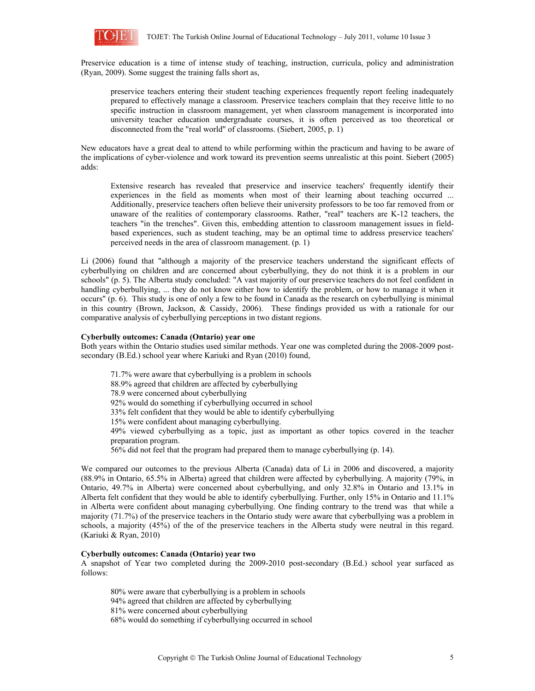

Preservice education is a time of intense study of teaching, instruction, curricula, policy and administration (Ryan, 2009). Some suggest the training falls short as,

 preservice teachers entering their student teaching experiences frequently report feeling inadequately prepared to effectively manage a classroom. Preservice teachers complain that they receive little to no specific instruction in classroom management, yet when classroom management is incorporated into university teacher education undergraduate courses, it is often perceived as too theoretical or disconnected from the "real world" of classrooms. (Siebert, 2005, p. 1)

New educators have a great deal to attend to while performing within the practicum and having to be aware of the implications of cyber-violence and work toward its prevention seems unrealistic at this point. Siebert (2005) adds:

 Extensive research has revealed that preservice and inservice teachers' frequently identify their experiences in the field as moments when most of their learning about teaching occurred ... Additionally, preservice teachers often believe their university professors to be too far removed from or unaware of the realities of contemporary classrooms. Rather, "real" teachers are K-12 teachers, the teachers "in the trenches". Given this, embedding attention to classroom management issues in fieldbased experiences, such as student teaching, may be an optimal time to address preservice teachers' perceived needs in the area of classroom management. (p. 1)

Li (2006) found that "although a majority of the preservice teachers understand the significant effects of cyberbullying on children and are concerned about cyberbullying, they do not think it is a problem in our schools" (p. 5). The Alberta study concluded: "A vast majority of our preservice teachers do not feel confident in handling cyberbullying, ... they do not know either how to identify the problem, or how to manage it when it occurs" (p. 6). This study is one of only a few to be found in Canada as the research on cyberbullying is minimal in this country (Brown, Jackson, & Cassidy, 2006). These findings provided us with a rationale for our comparative analysis of cyberbullying perceptions in two distant regions.

#### **Cyberbully outcomes: Canada (Ontario) year one**

Both years within the Ontario studies used similar methods. Year one was completed during the 2008-2009 postsecondary (B.Ed.) school year where Kariuki and Ryan (2010) found,

71.7% were aware that cyberbullying is a problem in schools

88.9% agreed that children are affected by cyberbullying

78.9 were concerned about cyberbullying

92% would do something if cyberbullying occurred in school

33% felt confident that they would be able to identify cyberbullying

15% were confident about managing cyberbullying.

49% viewed cyberbullying as a topic, just as important as other topics covered in the teacher preparation program.

56% did not feel that the program had prepared them to manage cyberbullying (p. 14).

We compared our outcomes to the previous Alberta (Canada) data of Li in 2006 and discovered, a majority (88.9% in Ontario, 65.5% in Alberta) agreed that children were affected by cyberbullying. A majority (79%, in Ontario, 49.7% in Alberta) were concerned about cyberbullying, and only 32.8% in Ontario and 13.1% in Alberta felt confident that they would be able to identify cyberbullying. Further, only 15% in Ontario and 11.1% in Alberta were confident about managing cyberbullying. One finding contrary to the trend was that while a majority (71.7%) of the preservice teachers in the Ontario study were aware that cyberbullying was a problem in schools, a majority (45%) of the of the preservice teachers in the Alberta study were neutral in this regard. (Kariuki & Ryan, 2010)

#### **Cyberbully outcomes: Canada (Ontario) year two**

A snapshot of Year two completed during the 2009-2010 post-secondary (B.Ed.) school year surfaced as follows:

80% were aware that cyberbullying is a problem in schools 94% agreed that children are affected by cyberbullying 81% were concerned about cyberbullying 68% would do something if cyberbullying occurred in school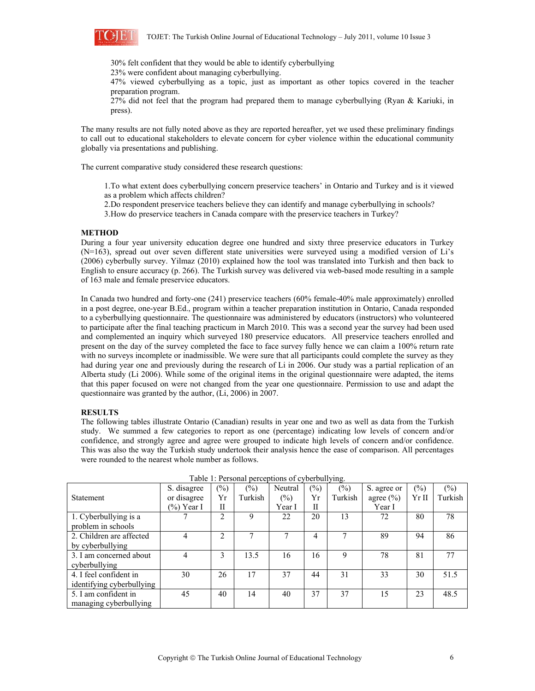

30% felt confident that they would be able to identify cyberbullying

23% were confident about managing cyberbullying.

47% viewed cyberbullying as a topic, just as important as other topics covered in the teacher preparation program.

27% did not feel that the program had prepared them to manage cyberbullying (Ryan & Kariuki, in press).

The many results are not fully noted above as they are reported hereafter, yet we used these preliminary findings to call out to educational stakeholders to elevate concern for cyber violence within the educational community globally via presentations and publishing.

The current comparative study considered these research questions:

- 1.To what extent does cyberbullying concern preservice teachers' in Ontario and Turkey and is it viewed as a problem which affects children?
- 2.Do respondent preservice teachers believe they can identify and manage cyberbullying in schools?
- 3.How do preservice teachers in Canada compare with the preservice teachers in Turkey?

#### **METHOD**

During a four year university education degree one hundred and sixty three preservice educators in Turkey (N=163), spread out over seven different state universities were surveyed using a modified version of Li's (2006) cyberbully survey. Yilmaz (2010) explained how the tool was translated into Turkish and then back to English to ensure accuracy (p. 266). The Turkish survey was delivered via web-based mode resulting in a sample of 163 male and female preservice educators.

In Canada two hundred and forty-one (241) preservice teachers (60% female-40% male approximately) enrolled in a post degree, one-year B.Ed., program within a teacher preparation institution in Ontario, Canada responded to a cyberbullying questionnaire. The questionnaire was administered by educators (instructors) who volunteered to participate after the final teaching practicum in March 2010. This was a second year the survey had been used and complemented an inquiry which surveyed 180 preservice educators. All preservice teachers enrolled and present on the day of the survey completed the face to face survey fully hence we can claim a 100% return rate with no surveys incomplete or inadmissible. We were sure that all participants could complete the survey as they had during year one and previously during the research of Li in 2006. Our study was a partial replication of an Alberta study (Li 2006). While some of the original items in the original questionnaire were adapted, the items that this paper focused on were not changed from the year one questionnaire. Permission to use and adapt the questionnaire was granted by the author, (Li, 2006) in 2007.

## **RESULTS**

The following tables illustrate Ontario (Canadian) results in year one and two as well as data from the Turkish study. We summed a few categories to report as one (percentage) indicating low levels of concern and/or confidence, and strongly agree and agree were grouped to indicate high levels of concern and/or confidence. This was also the way the Turkish study undertook their analysis hence the ease of comparison. All percentages were rounded to the nearest whole number as follows.

|                           | S. disagree   | (%) | $\frac{1}{2}$ | Neutral | $\frac{1}{2}$ | $\frac{6}{2}$ | S. agree or   | (9/0) | $\frac{1}{2}$ |
|---------------------------|---------------|-----|---------------|---------|---------------|---------------|---------------|-------|---------------|
| <b>Statement</b>          | or disagree   | Yr  | Turkish       | $(\%)$  | Yr            | Turkish       | agree $(\% )$ | Yr II | Turkish       |
|                           | $(\%)$ Year I | П   |               | Year I  | П             |               | Year I        |       |               |
| 1. Cyberbullying is a     |               | ◠   | 9             | 22      | 20            | 13            | 72            | 80    | 78            |
| problem in schools        |               |     |               |         |               |               |               |       |               |
| 2. Children are affected  |               | 2   |               |         | 4             |               | 89            | 94    | 86            |
| by cyberbullying          |               |     |               |         |               |               |               |       |               |
| 3. I am concerned about   | 4             | 3   | 13.5          | 16      | 16            | 9             | 78            | 81    | 77            |
| cyberbullying             |               |     |               |         |               |               |               |       |               |
| 4. I feel confident in    | 30            | 26  | 17            | 37      | 44            | 31            | 33            | 30    | 51.5          |
| identifying cyberbullying |               |     |               |         |               |               |               |       |               |
| 5. I am confident in      | 45            | 40  | 14            | 40      | 37            | 37            | 15            | 23    | 48.5          |
| managing cyberbullying    |               |     |               |         |               |               |               |       |               |

| Table 1: Personal perceptions of cyberbullying. |
|-------------------------------------------------|
|                                                 |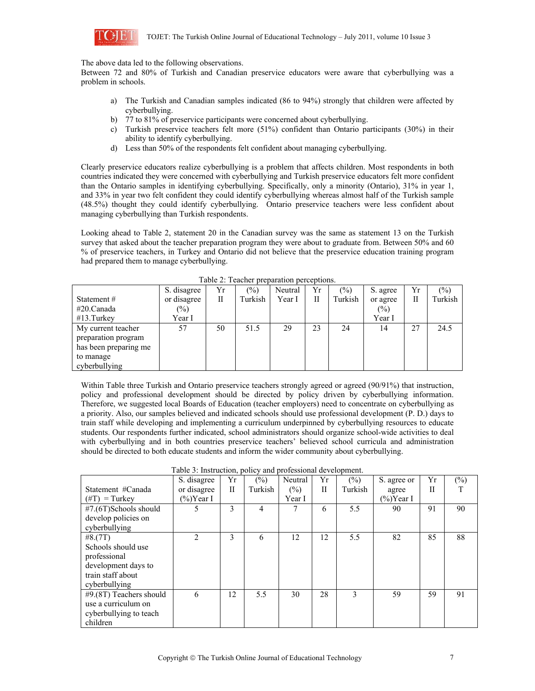

The above data led to the following observations.

Between 72 and 80% of Turkish and Canadian preservice educators were aware that cyberbullying was a problem in schools.

- a) The Turkish and Canadian samples indicated (86 to 94%) strongly that children were affected by cyberbullying.
- b) 77 to 81% of preservice participants were concerned about cyberbullying.
- c) Turkish preservice teachers felt more (51%) confident than Ontario participants (30%) in their ability to identify cyberbullying.
- d) Less than 50% of the respondents felt confident about managing cyberbullying.

Clearly preservice educators realize cyberbullying is a problem that affects children. Most respondents in both countries indicated they were concerned with cyberbullying and Turkish preservice educators felt more confident than the Ontario samples in identifying cyberbullying. Specifically, only a minority (Ontario), 31% in year 1, and 33% in year two felt confident they could identify cyberbullying whereas almost half of the Turkish sample (48.5%) thought they could identify cyberbullying. Ontario preservice teachers were less confident about managing cyberbullying than Turkish respondents.

Looking ahead to Table 2, statement 20 in the Canadian survey was the same as statement 13 on the Turkish survey that asked about the teacher preparation program they were about to graduate from. Between 50% and 60 % of preservice teachers, in Turkey and Ontario did not believe that the preservice education training program had prepared them to manage cyberbullying.

|                       | S. disagree | Yr | (0/0)   | Neutral | Yr | (%)     | S. agree | Yr | $(\%)$  |
|-----------------------|-------------|----|---------|---------|----|---------|----------|----|---------|
| Statement $#$         | or disagree | П  | Turkish | Year I  | Н  | Turkish | or agree | П  | Turkish |
| #20.Canada            | $(\%)$      |    |         |         |    |         | $(\%)$   |    |         |
| $#13$ . Turkey        | Year I      |    |         |         |    |         | Year I   |    |         |
| My current teacher    | 57          | 50 | 51.5    | 29      | 23 | 24      | 14       | 27 | 24.5    |
| preparation program   |             |    |         |         |    |         |          |    |         |
| has been preparing me |             |    |         |         |    |         |          |    |         |
| to manage             |             |    |         |         |    |         |          |    |         |
| cyberbullying         |             |    |         |         |    |         |          |    |         |

Table 2: Teacher preparation perceptions.

Within Table three Turkish and Ontario preservice teachers strongly agreed or agreed (90/91%) that instruction, policy and professional development should be directed by policy driven by cyberbullying information. Therefore, we suggested local Boards of Education (teacher employers) need to concentrate on cyberbullying as a priority. Also, our samples believed and indicated schools should use professional development (P. D.) days to train staff while developing and implementing a curriculum underpinned by cyberbullying resources to educate students. Our respondents further indicated, school administrators should organize school-wide activities to deal with cyberbullying and in both countries preservice teachers' believed school curricula and administration should be directed to both educate students and inform the wider community about cyberbullying.

| Table 3: Instruction, policy and professional development. |                |    |         |               |    |         |             |    |        |
|------------------------------------------------------------|----------------|----|---------|---------------|----|---------|-------------|----|--------|
|                                                            | S. disagree    | Yr | (%)     | Neutral       | Yr | $(\% )$ | S. agree or | Yr | $(\%)$ |
| Statement #Canada                                          | or disagree    | П  | Turkish | $\frac{6}{2}$ | П  | Turkish | agree       | П  |        |
| $(\text{\#T})$ = Turkey                                    | $(\%)$ Year I  |    |         | Year I        |    |         | (%)Year I   |    |        |
| #7.(6T)Schools should                                      | 5.             | 3  | 4       | 7             | 6  | 5.5     | 90          | 91 | 90     |
| develop policies on                                        |                |    |         |               |    |         |             |    |        |
| cyberbullying                                              |                |    |         |               |    |         |             |    |        |
| #8.(7T)                                                    | $\mathfrak{D}$ | 3  | 6       | 12            | 12 | 5.5     | 82          | 85 | 88     |
| Schools should use                                         |                |    |         |               |    |         |             |    |        |
| professional                                               |                |    |         |               |    |         |             |    |        |
| development days to                                        |                |    |         |               |    |         |             |    |        |
| train staff about                                          |                |    |         |               |    |         |             |    |        |
| cyberbullying                                              |                |    |         |               |    |         |             |    |        |
| #9.(8T) Teachers should                                    | 6              | 12 | 5.5     | 30            | 28 | 3       | 59          | 59 | 91     |
| use a curriculum on                                        |                |    |         |               |    |         |             |    |        |
| cyberbullying to teach                                     |                |    |         |               |    |         |             |    |        |
| children                                                   |                |    |         |               |    |         |             |    |        |

Table 3: Instruction, policy and professional development.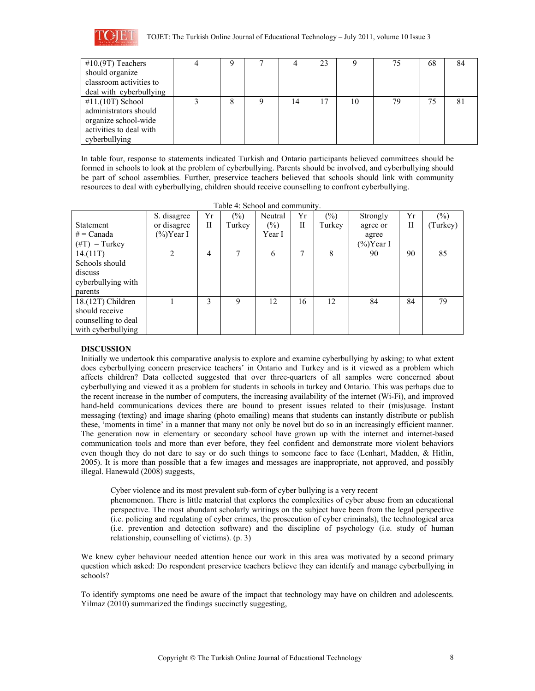

| $#10.(9T)$ Teachers     | Q | − |    | 23 |    | 75 | 68 | 84 |
|-------------------------|---|---|----|----|----|----|----|----|
| should organize         |   |   |    |    |    |    |    |    |
| classroom activities to |   |   |    |    |    |    |    |    |
| deal with cyberbullying |   |   |    |    |    |    |    |    |
| $#11.(10T)$ School      | 8 |   | 14 | 17 | 10 | 79 | 75 | 81 |
| administrators should   |   |   |    |    |    |    |    |    |
| organize school-wide    |   |   |    |    |    |    |    |    |
| activities to deal with |   |   |    |    |    |    |    |    |
| cyberbullying           |   |   |    |    |    |    |    |    |

In table four, response to statements indicated Turkish and Ontario participants believed committees should be formed in schools to look at the problem of cyberbullying. Parents should be involved, and cyberbullying should be part of school assemblies. Further, preservice teachers believed that schools should link with community resources to deal with cyberbullying, children should receive counselling to confront cyberbullying.

| Table 4: School and community. |                |    |        |         |    |        |               |    |          |  |
|--------------------------------|----------------|----|--------|---------|----|--------|---------------|----|----------|--|
|                                | S. disagree    | Yr | $(\%)$ | Neutral | Yr | $(\%)$ | Strongly      | Yr | $(\%)$   |  |
| <b>Statement</b>               | or disagree    | П  | Turkey | $(\%)$  | П  | Turkey | agree or      | П  | (Turkey) |  |
| $# = Canada$                   | $(\%)$ Year I  |    |        | Year I  |    |        | agree         |    |          |  |
| $(\text{\#T})$ = Turkey        |                |    |        |         |    |        | $(\%)$ Year I |    |          |  |
| 14.(11T)                       | $\mathfrak{D}$ | 4  | 7      | 6       |    | 8      | 90            | 90 | 85       |  |
| Schools should                 |                |    |        |         |    |        |               |    |          |  |
| discuss                        |                |    |        |         |    |        |               |    |          |  |
| cyberbullying with             |                |    |        |         |    |        |               |    |          |  |
| parents                        |                |    |        |         |    |        |               |    |          |  |
| 18.(12T) Children              |                | 3  | 9      | 12      | 16 | 12     | 84            | 84 | 79       |  |
| should receive                 |                |    |        |         |    |        |               |    |          |  |
| counselling to deal            |                |    |        |         |    |        |               |    |          |  |
| with cyberbullying             |                |    |        |         |    |        |               |    |          |  |

# **DISCUSSION**

Initially we undertook this comparative analysis to explore and examine cyberbullying by asking; to what extent does cyberbullying concern preservice teachers' in Ontario and Turkey and is it viewed as a problem which affects children? Data collected suggested that over three-quarters of all samples were concerned about cyberbullying and viewed it as a problem for students in schools in turkey and Ontario. This was perhaps due to the recent increase in the number of computers, the increasing availability of the internet (Wi-Fi), and improved hand-held communications devices there are bound to present issues related to their (mis)usage. Instant messaging (texting) and image sharing (photo emailing) means that students can instantly distribute or publish these, 'moments in time' in a manner that many not only be novel but do so in an increasingly efficient manner. The generation now in elementary or secondary school have grown up with the internet and internet-based communication tools and more than ever before, they feel confident and demonstrate more violent behaviors even though they do not dare to say or do such things to someone face to face (Lenhart, Madden, & Hitlin, 2005). It is more than possible that a few images and messages are inappropriate, not approved, and possibly illegal. Hanewald (2008) suggests,

Cyber violence and its most prevalent sub-form of cyber bullying is a very recent

 phenomenon. There is little material that explores the complexities of cyber abuse from an educational perspective. The most abundant scholarly writings on the subject have been from the legal perspective (i.e. policing and regulating of cyber crimes, the prosecution of cyber criminals), the technological area (i.e. prevention and detection software) and the discipline of psychology (i.e. study of human relationship, counselling of victims). (p. 3)

We knew cyber behaviour needed attention hence our work in this area was motivated by a second primary question which asked: Do respondent preservice teachers believe they can identify and manage cyberbullying in schools?

To identify symptoms one need be aware of the impact that technology may have on children and adolescents. Yilmaz (2010) summarized the findings succinctly suggesting,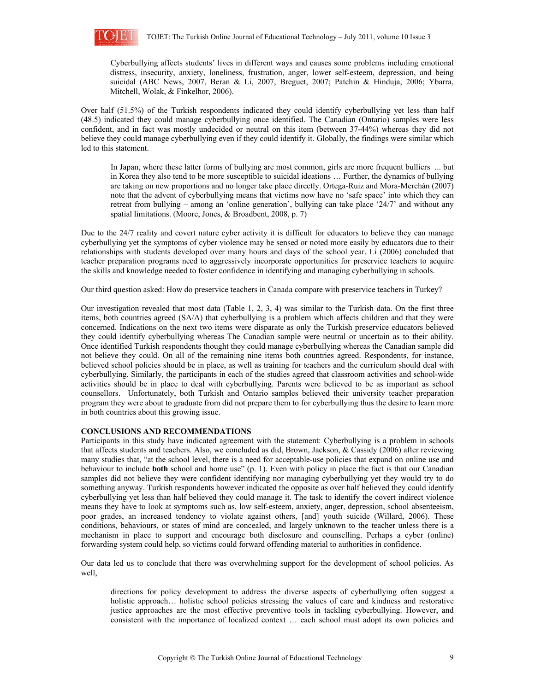

 Cyberbullying affects students' lives in different ways and causes some problems including emotional distress, insecurity, anxiety, loneliness, frustration, anger, lower self-esteem, depression, and being suicidal (ABC News, 2007, Beran & Li, 2007, Breguet, 2007; Patchin & Hinduja, 2006; Ybarra, Mitchell, Wolak, & Finkelhor, 2006).

Over half (51.5%) of the Turkish respondents indicated they could identify cyberbullying yet less than half (48.5) indicated they could manage cyberbullying once identified. The Canadian (Ontario) samples were less confident, and in fact was mostly undecided or neutral on this item (between 37-44%) whereas they did not believe they could manage cyberbullying even if they could identify it. Globally, the findings were similar which led to this statement.

In Japan, where these latter forms of bullying are most common, girls are more frequent bulliers ... but in Korea they also tend to be more susceptible to suicidal ideations … Further, the dynamics of bullying are taking on new proportions and no longer take place directly. Ortega-Ruiz and Mora-Merchán (2007) note that the advent of cyberbullying means that victims now have no 'safe space' into which they can retreat from bullying – among an 'online generation', bullying can take place '24/7' and without any spatial limitations. (Moore, Jones, & Broadbent, 2008, p. 7)

Due to the 24/7 reality and covert nature cyber activity it is difficult for educators to believe they can manage cyberbullying yet the symptoms of cyber violence may be sensed or noted more easily by educators due to their relationships with students developed over many hours and days of the school year. Li (2006) concluded that teacher preparation programs need to aggressively incorporate opportunities for preservice teachers to acquire the skills and knowledge needed to foster confidence in identifying and managing cyberbullying in schools.

Our third question asked: How do preservice teachers in Canada compare with preservice teachers in Turkey?

Our investigation revealed that most data (Table 1, 2, 3, 4) was similar to the Turkish data. On the first three items, both countries agreed (SA/A) that cyberbullying is a problem which affects children and that they were concerned. Indications on the next two items were disparate as only the Turkish preservice educators believed they could identify cyberbullying whereas The Canadian sample were neutral or uncertain as to their ability. Once identified Turkish respondents thought they could manage cyberbullying whereas the Canadian sample did not believe they could. On all of the remaining nine items both countries agreed. Respondents, for instance, believed school policies should be in place, as well as training for teachers and the curriculum should deal with cyberbullying. Similarly, the participants in each of the studies agreed that classroom activities and school-wide activities should be in place to deal with cyberbullying. Parents were believed to be as important as school counsellors. Unfortunately, both Turkish and Ontario samples believed their university teacher preparation program they were about to graduate from did not prepare them to for cyberbullying thus the desire to learn more in both countries about this growing issue.

### **CONCLUSIONS AND RECOMMENDATIONS**

Participants in this study have indicated agreement with the statement: Cyberbullying is a problem in schools that affects students and teachers. Also, we concluded as did, Brown, Jackson, & Cassidy (2006) after reviewing many studies that, "at the school level, there is a need for acceptable-use policies that expand on online use and behaviour to include **both** school and home use" (p. 1). Even with policy in place the fact is that our Canadian samples did not believe they were confident identifying nor managing cyberbullying yet they would try to do something anyway. Turkish respondents however indicated the opposite as over half believed they could identify cyberbullying yet less than half believed they could manage it. The task to identify the covert indirect violence means they have to look at symptoms such as, low self-esteem, anxiety, anger, depression, school absenteeism, poor grades, an increased tendency to violate against others, [and] youth suicide (Willard, 2006). These conditions, behaviours, or states of mind are concealed, and largely unknown to the teacher unless there is a mechanism in place to support and encourage both disclosure and counselling. Perhaps a cyber (online) forwarding system could help, so victims could forward offending material to authorities in confidence.

Our data led us to conclude that there was overwhelming support for the development of school policies. As well,

 directions for policy development to address the diverse aspects of cyberbullying often suggest a holistic approach... holistic school policies stressing the values of care and kindness and restorative justice approaches are the most effective preventive tools in tackling cyberbullying. However, and consistent with the importance of localized context … each school must adopt its own policies and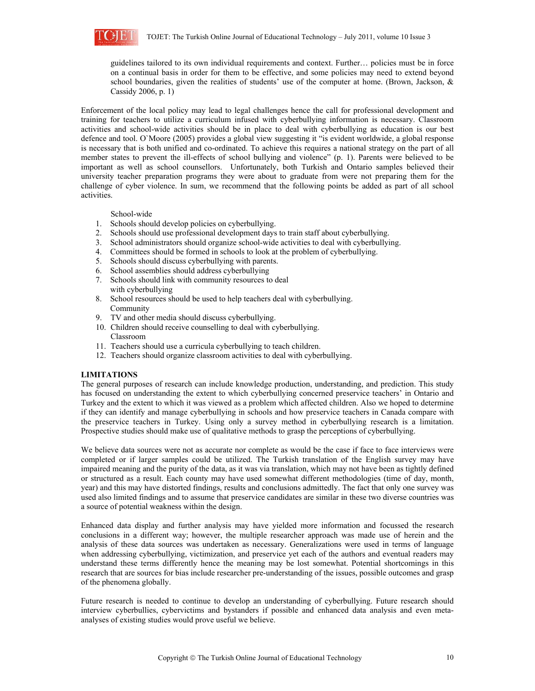

guidelines tailored to its own individual requirements and context. Further… policies must be in force on a continual basis in order for them to be effective, and some policies may need to extend beyond school boundaries, given the realities of students' use of the computer at home. (Brown, Jackson, & Cassidy 2006, p. 1)

Enforcement of the local policy may lead to legal challenges hence the call for professional development and training for teachers to utilize a curriculum infused with cyberbullying information is necessary. Classroom activities and school-wide activities should be in place to deal with cyberbullying as education is our best defence and tool. O`Moore (2005) provides a global view suggesting it "is evident worldwide, a global response is necessary that is both unified and co-ordinated. To achieve this requires a national strategy on the part of all member states to prevent the ill-effects of school bullying and violence" (p. 1). Parents were believed to be important as well as school counsellors. Unfortunately, both Turkish and Ontario samples believed their university teacher preparation programs they were about to graduate from were not preparing them for the challenge of cyber violence. In sum, we recommend that the following points be added as part of all school activities.

## School-wide

- 1. Schools should develop policies on cyberbullying.
- 2. Schools should use professional development days to train staff about cyberbullying.
- 3. School administrators should organize school-wide activities to deal with cyberbullying.
- 4. Committees should be formed in schools to look at the problem of cyberbullying.
- 5. Schools should discuss cyberbullying with parents.
- 6. School assemblies should address cyberbullying
- 7. Schools should link with community resources to deal with cyberbullying
- 8. School resources should be used to help teachers deal with cyberbullying. Community
- 9. TV and other media should discuss cyberbullying.
- 10. Children should receive counselling to deal with cyberbullying. Classroom
- 11. Teachers should use a curricula cyberbullying to teach children.
- 12. Teachers should organize classroom activities to deal with cyberbullying.

# **LIMITATIONS**

The general purposes of research can include knowledge production, understanding, and prediction. This study has focused on understanding the extent to which cyberbullying concerned preservice teachers' in Ontario and Turkey and the extent to which it was viewed as a problem which affected children. Also we hoped to determine if they can identify and manage cyberbullying in schools and how preservice teachers in Canada compare with the preservice teachers in Turkey. Using only a survey method in cyberbullying research is a limitation. Prospective studies should make use of qualitative methods to grasp the perceptions of cyberbullying.

We believe data sources were not as accurate nor complete as would be the case if face to face interviews were completed or if larger samples could be utilized. The Turkish translation of the English survey may have impaired meaning and the purity of the data, as it was via translation, which may not have been as tightly defined or structured as a result. Each county may have used somewhat different methodologies (time of day, month, year) and this may have distorted findings, results and conclusions admittedly. The fact that only one survey was used also limited findings and to assume that preservice candidates are similar in these two diverse countries was a source of potential weakness within the design.

Enhanced data display and further analysis may have yielded more information and focussed the research conclusions in a different way; however, the multiple researcher approach was made use of herein and the analysis of these data sources was undertaken as necessary. Generalizations were used in terms of language when addressing cyberbullying, victimization, and preservice yet each of the authors and eventual readers may understand these terms differently hence the meaning may be lost somewhat. Potential shortcomings in this research that are sources for bias include researcher pre-understanding of the issues, possible outcomes and grasp of the phenomena globally.

Future research is needed to continue to develop an understanding of cyberbullying. Future research should interview cyberbullies, cybervictims and bystanders if possible and enhanced data analysis and even metaanalyses of existing studies would prove useful we believe.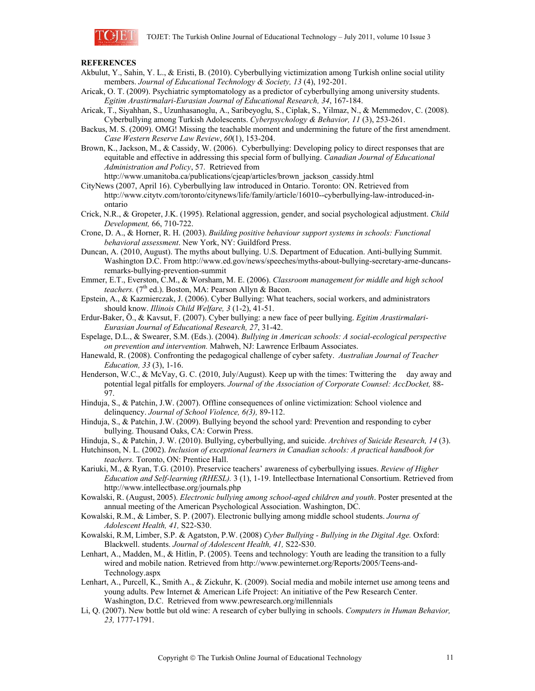

# **REFERENCES**

- Akbulut, Y., Sahin, Y. L., & Eristi, B. (2010). Cyberbullying victimization among Turkish online social utility members. *Journal of Educational Technology & Society, 13* (4), 192-201.
- Aricak, O. T. (2009). Psychiatric symptomatology as a predictor of cyberbullying among university students. *Egitim Arastirmalari-Eurasian Journal of Educational Research, 34*, 167-184.
- Aricak, T., Siyahhan, S., Uzunhasanoglu, A., Saribeyoglu, S., Ciplak, S., Yilmaz, N., & Memmedov, C. (2008). Cyberbullying among Turkish Adolescents. *Cyberpsychology & Behavior, 11* (3), 253-261.
- Backus, M. S. (2009). OMG! Missing the teachable moment and undermining the future of the first amendment. *Case Western Reserve Law Review*, *60*(1), 153-204.
- Brown, K., Jackson, M., & Cassidy, W. (2006). Cyberbullying: Developing policy to direct responses that are equitable and effective in addressing this special form of bullying. *Canadian Journal of Educational Administration and Policy*, 57. Retrieved from

http://www.umanitoba.ca/publications/cjeap/articles/brown\_jackson\_cassidy.html

- CityNews (2007, April 16). Cyberbullying law introduced in Ontario. Toronto: ON. Retrieved from http://www.citytv.com/toronto/citynews/life/family/article/16010--cyberbullying-law-introduced-inontario
- Crick, N.R., & Gropeter, J.K. (1995). Relational aggression, gender, and social psychological adjustment. *Child Development,* 66, 710-722.
- Crone, D. A., & Horner, R. H. (2003). *Building positive behaviour support systems in schools: Functional behavioral assessment*. New York, NY: Guildford Press.
- Duncan, A. (2010, August). The myths about bullying. U.S. Department of Education. Anti-bullying Summit. Washington D.C. From http://www.ed.gov/news/speeches/myths-about-bullying-secretary-arne-duncansremarks-bullying-prevention-summit
- Emmer, E.T., Everston, C.M., & Worsham, M. E. (2006). *Classroom management for middle and high school*  teachers. (7<sup>th</sup> ed.). Boston, MA: Pearson Allyn & Bacon.
- Epstein, A., & Kazmierczak, J. (2006). Cyber Bullying: What teachers, social workers, and administrators should know. *Illinois Child Welfare, 3* (1-2), 41-51.
- Erdur-Baker, Ö., & Kavsut, F. (2007). Cyber bullying: a new face of peer bullying. *Egitim Arastirmalari-Eurasian Journal of Educational Research, 27*, 31-42.
- Espelage, D.L., & Swearer, S.M. (Eds.). (2004). *Bullying in American schools: A social-ecological perspective on prevention and intervention.* Mahweh, NJ: Lawrence Erlbaum Associates.
- Hanewald, R. (2008). Confronting the pedagogical challenge of cyber safety. *Australian Journal of Teacher Education, 33* (3), 1-16.
- Henderson, W.C., & McVay, G. C. (2010, July/August). Keep up with the times: Twittering the day away and potential legal pitfalls for employers. *Journal of the Association of Corporate Counsel: AccDocket,* 88- 97.
- Hinduja, S., & Patchin, J.W. (2007). Offline consequences of online victimization: School violence and delinquency. *Journal of School Violence, 6(3),* 89-112.
- Hinduja, S., & Patchin, J.W. (2009). Bullying beyond the school yard: Prevention and responding to cyber bullying. Thousand Oaks, CA: Corwin Press.
- Hinduja, S., & Patchin, J. W. (2010). Bullying, cyberbullying, and suicide. *Archives of Suicide Research, 14* (3).
- Hutchinson, N. L. (2002). *Inclusion of exceptional learners in Canadian schools: A practical handbook for teachers.* Toronto, ON: Prentice Hall.
- Kariuki, M., & Ryan, T.G. (2010). Preservice teachers' awareness of cyberbullying issues. *Review of Higher Education and Self-learning (RHESL).* 3 (1), 1-19. Intellectbase International Consortium. Retrieved from http://www.intellectbase.org/journals.php
- Kowalski, R. (August, 2005). *Electronic bullying among school-aged children and youth*. Poster presented at the annual meeting of the American Psychological Association. Washington, DC.
- Kowalski, R.M., & Limber, S. P. (2007). Electronic bullying among middle school students. *Journa of Adolescent Health, 41,* S22-S30.
- Kowalski, R.M, Limber, S.P. & Agatston, P.W. (2008) *Cyber Bullying Bullying in the Digital Age.* Oxford: Blackwell. students. *Journal of Adolescent Health, 41,* S22-S30.
- Lenhart, A., Madden, M., & Hitlin, P. (2005). Teens and technology: Youth are leading the transition to a fully wired and mobile nation. Retrieved from http://www.pewinternet.org/Reports/2005/Teens-and-Technology.aspx
- Lenhart, A., Purcell, K., Smith A., & Zickuhr, K. (2009). Social media and mobile internet use among teens and young adults. Pew Internet & American Life Project: An initiative of the Pew Research Center. Washington, D.C. Retrieved from www.pewresearch.org/millennials
- Li, Q. (2007). New bottle but old wine: A research of cyber bullying in schools. *Computers in Human Behavior, 23,* 1777-1791.